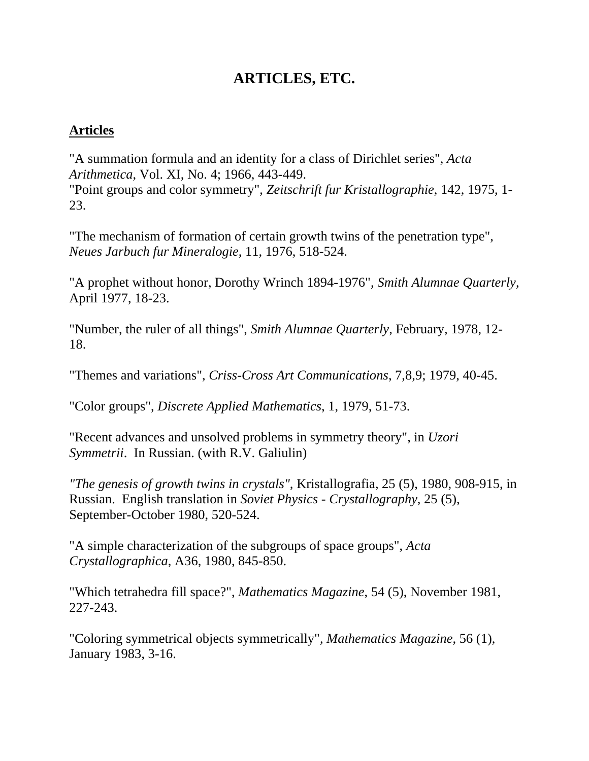# **ARTICLES, ETC.**

# **Articles**

"A summation formula and an identity for a class of Dirichlet series", *Acta Arithmetica*, Vol. XI, No. 4; 1966, 443-449. "Point groups and color symmetry", *Zeitschrift fur Kristallographie*, 142, 1975, 1- 23.

"The mechanism of formation of certain growth twins of the penetration type", *Neues Jarbuch fur Mineralogie*, 11, 1976, 518-524.

"A prophet without honor, Dorothy Wrinch 1894-1976", *Smith Alumnae Quarterly*, April 1977, 18-23.

"Number, the ruler of all things", *Smith Alumnae Quarterly*, February, 1978, 12- 18.

"Themes and variations", *Criss-Cross Art Communications*, 7,8,9; 1979, 40-45.

"Color groups", *Discrete Applied Mathematics*, 1, 1979, 51-73.

"Recent advances and unsolved problems in symmetry theory", in *Uzori Symmetrii*. In Russian. (with R.V. Galiulin)

*"The genesis of growth twins in crystals",* Kristallografia, 25 (5), 1980, 908-915, in Russian. English translation in *Soviet Physics - Crystallography*, 25 (5), September-October 1980, 520-524.

"A simple characterization of the subgroups of space groups", *Acta Crystallographica*, A36, 1980, 845-850.

"Which tetrahedra fill space?", *Mathematics Magazine*, 54 (5), November 1981, 227-243.

"Coloring symmetrical objects symmetrically", *Mathematics Magazine*, 56 (1), January 1983, 3-16.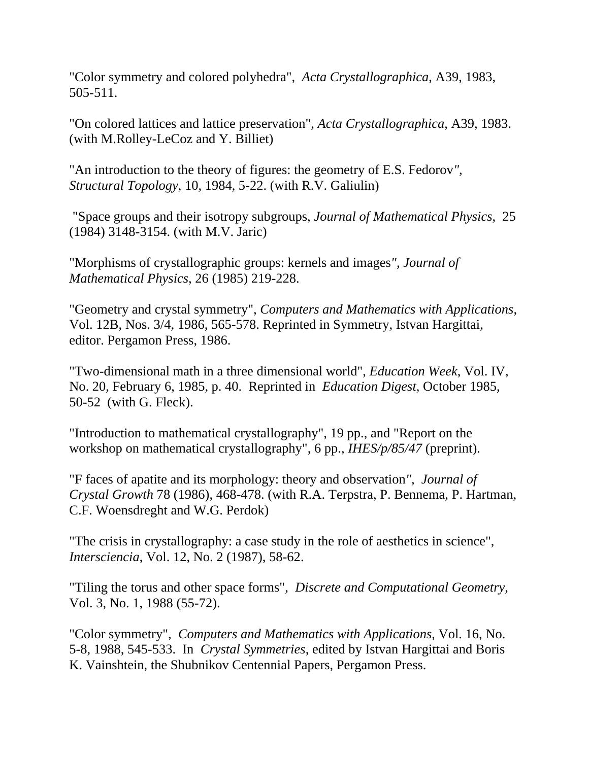"Color symmetry and colored polyhedra", *Acta Crystallographica*, A39, 1983, 505-511.

"On colored lattices and lattice preservation", *Acta Crystallographica*, A39, 1983. (with M.Rolley-LeCoz and Y. Billiet)

"An introduction to the theory of figures: the geometry of E.S. Fedorov*", Structural Topology*, 10, 1984, 5-22. (with R.V. Galiulin)

"Space groups and their isotropy subgroups, *Journal of Mathematical Physics*, 25 (1984) 3148-3154. (with M.V. Jaric)

"Morphisms of crystallographic groups: kernels and images*", Journal of Mathematical Physics*, 26 (1985) 219-228.

"Geometry and crystal symmetry", *Computers and Mathematics with Applications*, Vol. 12B, Nos. 3/4, 1986, 565-578. Reprinted in Symmetry, Istvan Hargittai, editor. Pergamon Press, 1986.

"Two-dimensional math in a three dimensional world", *Education Week*, Vol. IV, No. 20, February 6, 1985, p. 40. Reprinted in *Education Digest*, October 1985, 50-52 (with G. Fleck).

"Introduction to mathematical crystallography", 19 pp., and "Report on the workshop on mathematical crystallography", 6 pp., *IHES/p/85/47* (preprint).

"F faces of apatite and its morphology: theory and observation*", Journal of Crystal Growth* 78 (1986), 468-478. (with R.A. Terpstra, P. Bennema, P. Hartman, C.F. Woensdreght and W.G. Perdok)

"The crisis in crystallography: a case study in the role of aesthetics in science", *Intersciencia*, Vol. 12, No. 2 (1987), 58-62.

"Tiling the torus and other space forms", *Discrete and Computational Geometry*, Vol. 3, No. 1, 1988 (55-72).

"Color symmetry", *Computers and Mathematics with Applications*, Vol. 16, No. 5-8, 1988, 545-533. In *Crystal Symmetries*, edited by Istvan Hargittai and Boris K. Vainshtein, the Shubnikov Centennial Papers, Pergamon Press.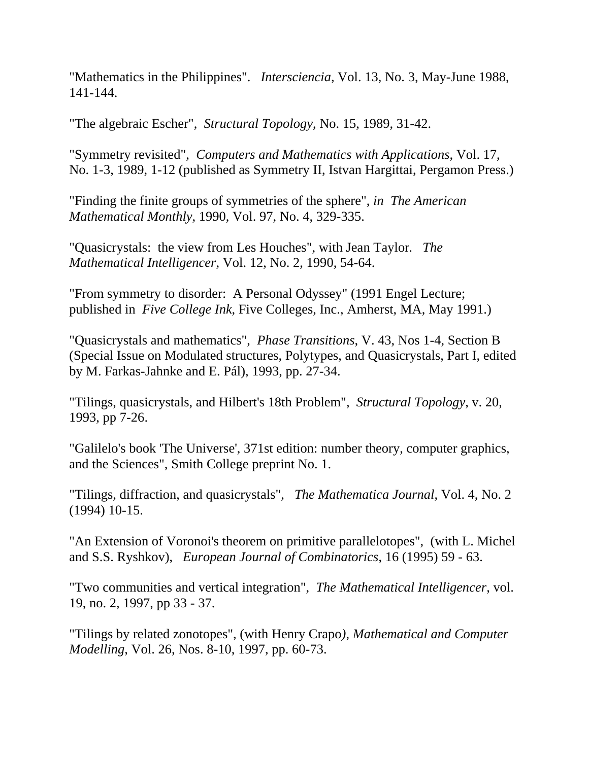"Mathematics in the Philippines". *Intersciencia,* Vol. 13, No. 3, May-June 1988, 141-144.

"The algebraic Escher", *Structural Topology*, No. 15, 1989, 31-42.

"Symmetry revisited", *Computers and Mathematics with Applications*, Vol. 17, No. 1-3, 1989, 1-12 (published as Symmetry II, Istvan Hargittai, Pergamon Press.)

"Finding the finite groups of symmetries of the sphere", *in The American Mathematical Monthly*, 1990, Vol. 97, No. 4, 329-335.

"Quasicrystals: the view from Les Houches", with Jean Taylor*. The Mathematical Intelligencer*, Vol. 12, No. 2, 1990, 54-64.

"From symmetry to disorder: A Personal Odyssey" (1991 Engel Lecture; published in *Five College Ink*, Five Colleges, Inc., Amherst, MA, May 1991.)

"Quasicrystals and mathematics", *Phase Transitions*, V. 43, Nos 1-4, Section B (Special Issue on Modulated structures, Polytypes, and Quasicrystals, Part I, edited by M. Farkas-Jahnke and E. Pál), 1993, pp. 27-34.

"Tilings, quasicrystals, and Hilbert's 18th Problem", *Structural Topology*, v. 20, 1993, pp 7-26.

"Galilelo's book 'The Universe', 371st edition: number theory, computer graphics, and the Sciences", Smith College preprint No. 1.

"Tilings, diffraction, and quasicrystals", *The Mathematica Journal*, Vol. 4, No. 2 (1994) 10-15.

"An Extension of Voronoi's theorem on primitive parallelotopes", (with L. Michel and S.S. Ryshkov), *European Journal of Combinatorics*, 16 (1995) 59 - 63.

"Two communities and vertical integration", *The Mathematical Intelligencer*, vol. 19, no. 2, 1997, pp 33 - 37.

"Tilings by related zonotopes", (with Henry Crapo*), Mathematical and Computer Modelling*, Vol. 26, Nos. 8-10, 1997, pp. 60-73.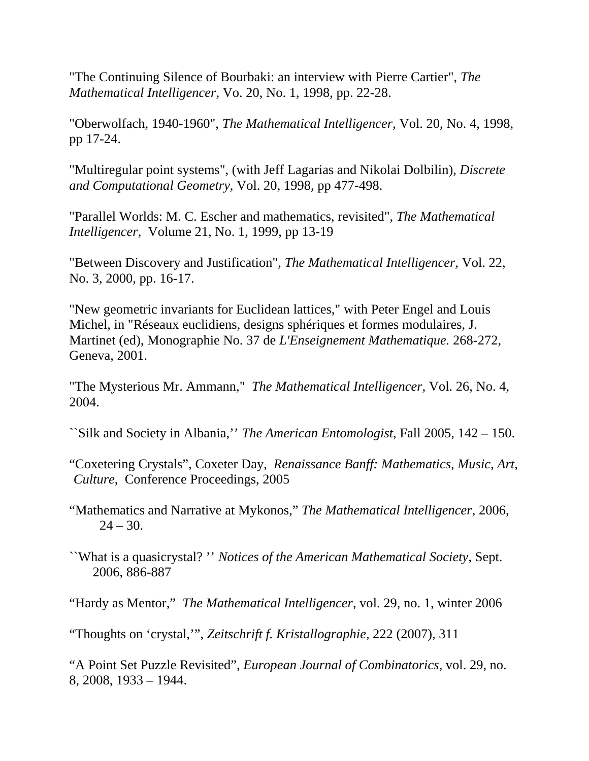"The Continuing Silence of Bourbaki: an interview with Pierre Cartier", *The Mathematical Intelligencer*, Vo. 20, No. 1, 1998, pp. 22-28.

"Oberwolfach, 1940-1960", *The Mathematical Intelligencer*, Vol. 20, No. 4, 1998, pp 17-24.

"Multiregular point systems", (with Jeff Lagarias and Nikolai Dolbilin), *Discrete and Computational Geometry*, Vol. 20, 1998, pp 477-498.

"Parallel Worlds: M. C. Escher and mathematics, revisited", *The Mathematical Intelligencer*, Volume 21, No. 1, 1999, pp 13-19

"Between Discovery and Justification", *The Mathematical Intelligencer,* Vol. 22, No. 3, 2000, pp. 16-17.

"New geometric invariants for Euclidean lattices," with Peter Engel and Louis Michel, in "Réseaux euclidiens, designs sphériques et formes modulaires, J. Martinet (ed), Monographie No. 37 de *L'Enseignement Mathematique.* 268-272, Geneva, 2001.

"The Mysterious Mr. Ammann," *The Mathematical Intelligencer,* Vol. 26, No. 4, 2004.

``Silk and Society in Albania,'' *The American Entomologist*, Fall 2005, 142 – 150.

"Coxetering Crystals", Coxeter Day, *Renaissance Banff: Mathematics, Music, Art, Culture*, Conference Proceedings, 2005

 "Mathematics and Narrative at Mykonos," *The Mathematical Intelligencer*, 2006,  $24 - 30.$ 

``What is a quasicrystal? '' *Notices of the American Mathematical Society*, Sept. 2006, 886-887

"Hardy as Mentor," *The Mathematical Intelligencer*, vol. 29, no. 1, winter 2006

"Thoughts on 'crystal,'", *Zeitschrift f. Kristallographie*, 222 (2007), 311

"A Point Set Puzzle Revisited", *European Journal of Combinatorics*, vol. 29, no. 8, 2008, 1933 – 1944.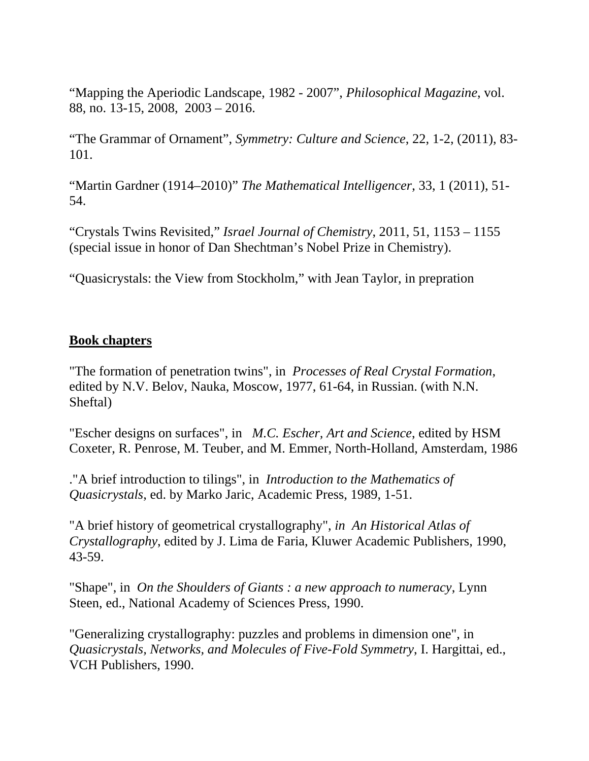"Mapping the Aperiodic Landscape, 1982 - 2007", *Philosophical Magazine*, vol. 88, no. 13-15, 2008, 2003 – 2016.

"The Grammar of Ornament", *Symmetry: Culture and Science*, 22, 1-2, (2011), 83- 101.

"Martin Gardner (1914–2010)" *The Mathematical Intelligencer*, 33, 1 (2011), 51- 54.

"Crystals Twins Revisited," *Israel Journal of Chemistry*, 2011, 51, 1153 – 1155 (special issue in honor of Dan Shechtman's Nobel Prize in Chemistry).

"Quasicrystals: the View from Stockholm," with Jean Taylor, in prepration

#### **Book chapters**

"The formation of penetration twins", in *Processes of Real Crystal Formation*, edited by N.V. Belov, Nauka, Moscow, 1977, 61-64, in Russian. (with N.N. Sheftal)

"Escher designs on surfaces", in *M.C. Escher, Art and Science*, edited by HSM Coxeter, R. Penrose, M. Teuber, and M. Emmer, North-Holland, Amsterdam, 1986

."A brief introduction to tilings", in *Introduction to the Mathematics of Quasicrystals*, ed. by Marko Jaric, Academic Press, 1989, 1-51.

"A brief history of geometrical crystallography", *in An Historical Atlas of Crystallography*, edited by J. Lima de Faria, Kluwer Academic Publishers, 1990, 43-59.

"Shape", in *On the Shoulders of Giants : a new approach to numeracy*, Lynn Steen, ed., National Academy of Sciences Press, 1990.

"Generalizing crystallography: puzzles and problems in dimension one", in *Quasicrystals, Networks, and Molecules of Five-Fold Symmetry*, I. Hargittai, ed., VCH Publishers, 1990.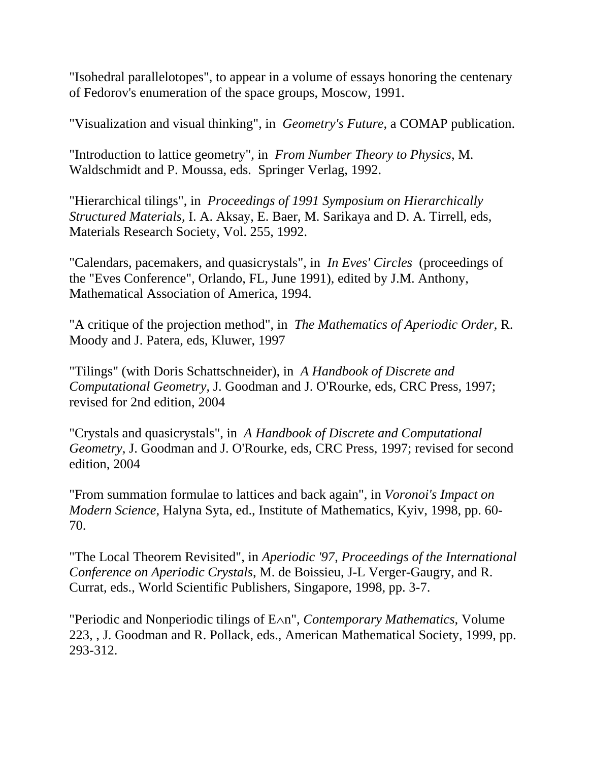"Isohedral parallelotopes", to appear in a volume of essays honoring the centenary of Fedorov's enumeration of the space groups, Moscow, 1991.

"Visualization and visual thinking", in *Geometry's Future*, a COMAP publication.

"Introduction to lattice geometry", in *From Number Theory to Physics*, M. Waldschmidt and P. Moussa, eds. Springer Verlag, 1992.

"Hierarchical tilings", in *Proceedings of 1991 Symposium on Hierarchically Structured Materials*, I. A. Aksay, E. Baer, M. Sarikaya and D. A. Tirrell, eds, Materials Research Society, Vol. 255, 1992.

"Calendars, pacemakers, and quasicrystals", in *In Eves' Circles* (proceedings of the "Eves Conference", Orlando, FL, June 1991), edited by J.M. Anthony, Mathematical Association of America, 1994.

"A critique of the projection method", in *The Mathematics of Aperiodic Order*, R. Moody and J. Patera, eds, Kluwer, 1997

"Tilings" (with Doris Schattschneider), in *A Handbook of Discrete and Computational Geometry*, J. Goodman and J. O'Rourke, eds, CRC Press, 1997; revised for 2nd edition, 2004

"Crystals and quasicrystals", in *A Handbook of Discrete and Computational Geometry*, J. Goodman and J. O'Rourke, eds, CRC Press, 1997; revised for second edition, 2004

"From summation formulae to lattices and back again", in *Voronoi's Impact on Modern Science*, Halyna Syta, ed., Institute of Mathematics, Kyiv, 1998, pp. 60- 70.

"The Local Theorem Revisited", in *Aperiodic '97*, *Proceedings of the International Conference on Aperiodic Crystals*, M. de Boissieu, J-L Verger-Gaugry, and R. Currat, eds., World Scientific Publishers, Singapore, 1998, pp. 3-7.

"Periodic and Nonperiodic tilings of E∧n", *Contemporary Mathematics*, Volume 223, , J. Goodman and R. Pollack, eds., American Mathematical Society, 1999, pp. 293-312.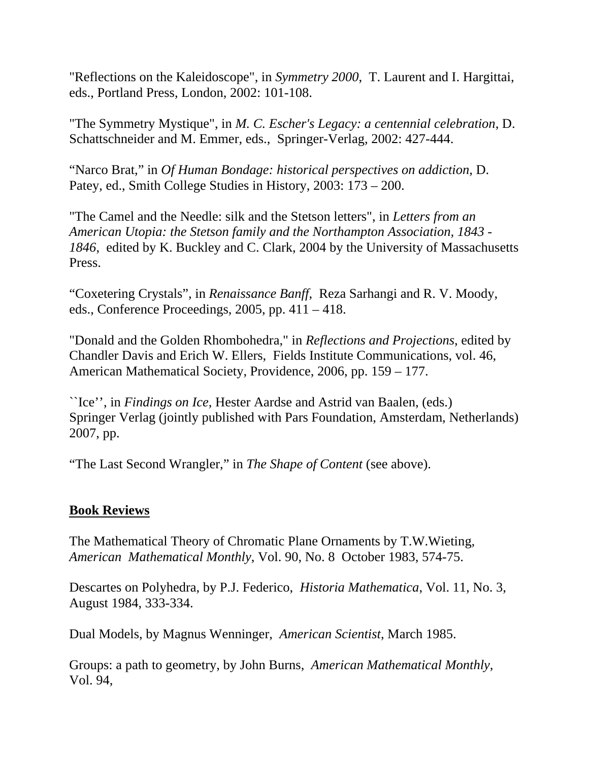"Reflections on the Kaleidoscope", in *Symmetry 2000*, T. Laurent and I. Hargittai, eds., Portland Press, London, 2002: 101-108.

"The Symmetry Mystique", in *M. C. Escher's Legacy: a centennial celebration*, D. Schattschneider and M. Emmer, eds., Springer-Verlag, 2002: 427-444.

"Narco Brat," in *Of Human Bondage: historical perspectives on addiction*, D. Patey, ed., Smith College Studies in History, 2003: 173 – 200.

"The Camel and the Needle: silk and the Stetson letters", in *Letters from an American Utopia: the Stetson family and the Northampton Association, 1843 - 1846*, edited by K. Buckley and C. Clark, 2004 by the University of Massachusetts Press.

"Coxetering Crystals", in *Renaissance Banff*, Reza Sarhangi and R. V. Moody, eds., Conference Proceedings, 2005, pp. 411 – 418.

"Donald and the Golden Rhombohedra," in *Reflections and Projections*, edited by Chandler Davis and Erich W. Ellers, Fields Institute Communications, vol. 46, American Mathematical Society, Providence, 2006, pp. 159 – 177.

``Ice'', in *Findings on Ice*, Hester Aardse and Astrid van Baalen, (eds.) Springer Verlag (jointly published with Pars Foundation, Amsterdam, Netherlands) 2007, pp.

"The Last Second Wrangler," in *The Shape of Content* (see above).

## **Book Reviews**

The Mathematical Theory of Chromatic Plane Ornaments by T.W.Wieting*, American Mathematical Monthly*, Vol. 90, No. 8 October 1983, 574-75.

Descartes on Polyhedra, by P.J. Federico, *Historia Mathematica*, Vol. 11, No. 3, August 1984, 333-334.

Dual Models, by Magnus Wenninger, *American Scientist*, March 1985.

Groups: a path to geometry, by John Burns, *American Mathematical Monthly*, Vol. 94,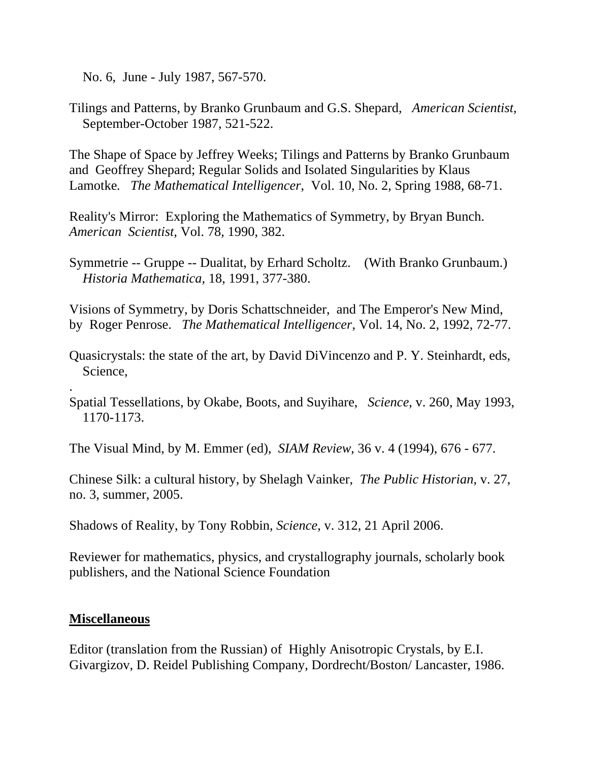No. 6, June - July 1987, 567-570.

Tilings and Patterns, by Branko Grunbaum and G.S. Shepard, *American Scientist,* September-October 1987, 521-522.

The Shape of Space by Jeffrey Weeks; Tilings and Patterns by Branko Grunbaum and Geoffrey Shepard; Regular Solids and Isolated Singularities by Klaus Lamotke*. The Mathematical Intelligencer*, Vol. 10, No. 2, Spring 1988, 68-71.

Reality's Mirror: Exploring the Mathematics of Symmetry, by Bryan Bunch. *American Scientist,* Vol. 78, 1990, 382.

Symmetrie -- Gruppe -- Dualitat, by Erhard Scholtz. (With Branko Grunbaum.) *Historia Mathematica,* 18, 1991, 377-380.

Visions of Symmetry, by Doris Schattschneider, and The Emperor's New Mind, by Roger Penrose. *The Mathematical Intelligencer*, Vol. 14, No. 2, 1992, 72-77.

Quasicrystals: the state of the art, by David DiVincenzo and P. Y. Steinhardt, eds, Science,

Spatial Tessellations, by Okabe, Boots, and Suyihare, *Science*, v. 260, May 1993, 1170-1173.

The Visual Mind, by M. Emmer (ed), *SIAM Review*, 36 v. 4 (1994), 676 - 677.

Chinese Silk: a cultural history, by Shelagh Vainker, *The Public Historian*, v. 27, no. 3, summer, 2005.

Shadows of Reality, by Tony Robbin, *Science*, v. 312, 21 April 2006.

Reviewer for mathematics, physics, and crystallography journals, scholarly book publishers, and the National Science Foundation

## **Miscellaneous**

.

Editor (translation from the Russian) of Highly Anisotropic Crystals, by E.I. Givargizov, D. Reidel Publishing Company, Dordrecht/Boston/ Lancaster, 1986.